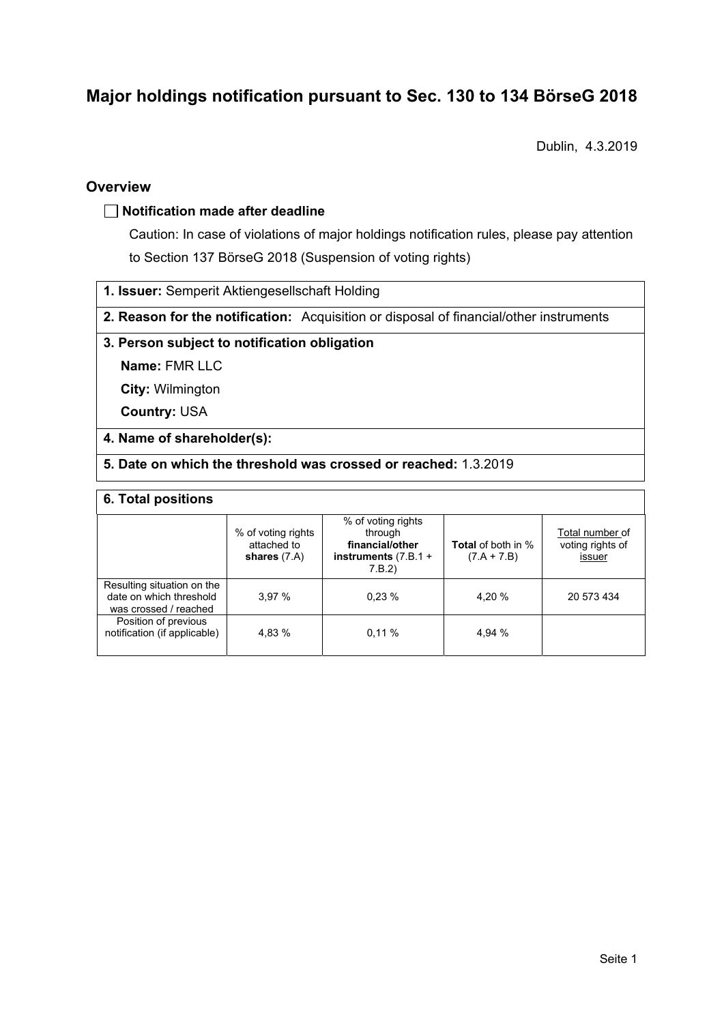# **Major holdings notification pursuant to Sec. 130 to 134 BörseG 2018**

Dublin, 4.3.2019

### **Overview**

### **Notification made after deadline**

Caution: In case of violations of major holdings notification rules, please pay attention to Section 137 BörseG 2018 (Suspension of voting rights)

**1. Issuer:** Semperit Aktiengesellschaft Holding

**2. Reason for the notification:** Acquisition or disposal of financial/other instruments

### **3. Person subject to notification obligation**

**Name:** FMR LLC

**City:** Wilmington

**Country:** USA

### **4. Name of shareholder(s):**

**5. Date on which the threshold was crossed or reached:** 1.3.2019

#### **6. Total positions**

|                                                                                | % of voting rights<br>attached to<br>shares $(7.A)$ | % of voting rights<br>through<br>financial/other<br>instruments $(7.B.1 +$<br>7.B.2) | <b>Total</b> of both in %<br>$(7.A + 7.B)$ | Total number of<br>voting rights of<br>issuer |  |  |
|--------------------------------------------------------------------------------|-----------------------------------------------------|--------------------------------------------------------------------------------------|--------------------------------------------|-----------------------------------------------|--|--|
| Resulting situation on the<br>date on which threshold<br>was crossed / reached | 3.97%                                               | 0.23%                                                                                | 4.20 %                                     | 20 573 434                                    |  |  |
| Position of previous<br>notification (if applicable)                           | 4.83 %                                              | 0.11%                                                                                | 4.94 %                                     |                                               |  |  |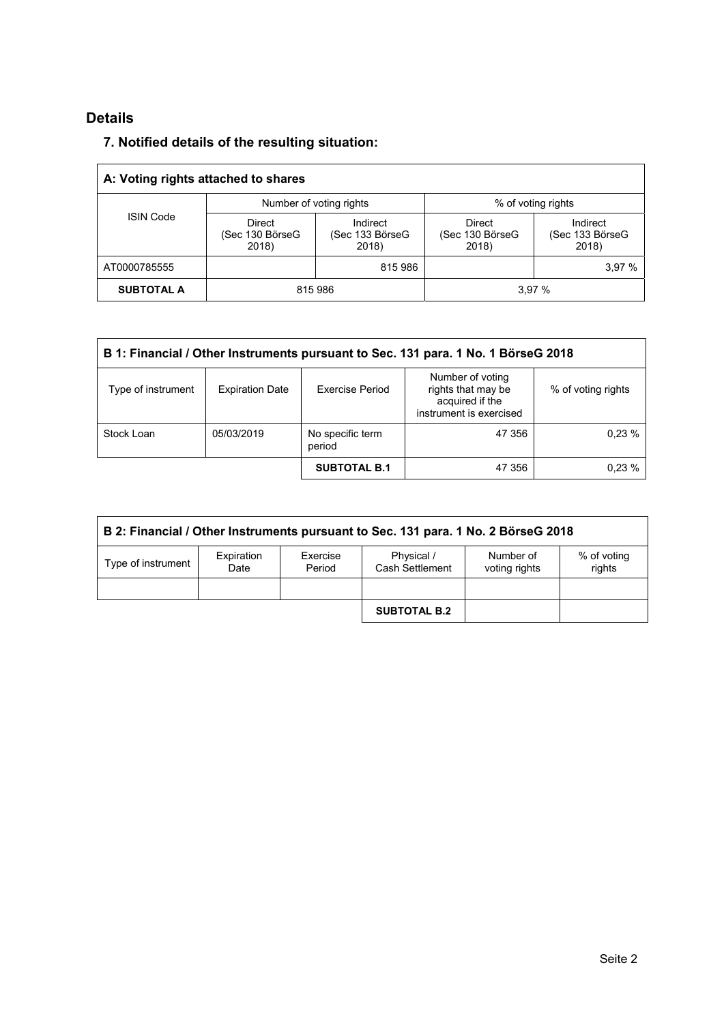## **Details**

 $\overline{a}$ 

### **7. Notified details of the resulting situation:**

| A: Voting rights attached to shares |                                           |                                      |                                           |                                      |  |  |
|-------------------------------------|-------------------------------------------|--------------------------------------|-------------------------------------------|--------------------------------------|--|--|
| <b>ISIN Code</b>                    |                                           | Number of voting rights              | % of voting rights                        |                                      |  |  |
|                                     | <b>Direct</b><br>(Sec 130 BörseG<br>2018) | Indirect<br>(Sec 133 BörseG<br>2018) | <b>Direct</b><br>(Sec 130 BörseG<br>2018) | Indirect<br>(Sec 133 BörseG<br>2018) |  |  |
| AT0000785555                        |                                           | 815 986                              |                                           | 3,97 %                               |  |  |
| <b>SUBTOTAL A</b>                   | 815 986                                   |                                      | 3.97%                                     |                                      |  |  |

| B 1: Financial / Other Instruments pursuant to Sec. 131 para. 1 No. 1 BörseG 2018 |                        |                            |                                                                                      |                    |  |
|-----------------------------------------------------------------------------------|------------------------|----------------------------|--------------------------------------------------------------------------------------|--------------------|--|
| Type of instrument                                                                | <b>Expiration Date</b> | <b>Exercise Period</b>     | Number of voting<br>rights that may be<br>acquired if the<br>instrument is exercised | % of voting rights |  |
| Stock Loan                                                                        | 05/03/2019             | No specific term<br>period | 47 356                                                                               | 0.23%              |  |
|                                                                                   |                        | <b>SUBTOTAL B.1</b>        | 47 356                                                                               | 0.23%              |  |

| B 2: Financial / Other Instruments pursuant to Sec. 131 para. 1 No. 2 BörseG 2018 |                    |                    |                               |                            |                       |
|-----------------------------------------------------------------------------------|--------------------|--------------------|-------------------------------|----------------------------|-----------------------|
| Type of instrument                                                                | Expiration<br>Date | Exercise<br>Period | Physical /<br>Cash Settlement | Number of<br>voting rights | % of voting<br>rights |
|                                                                                   |                    |                    |                               |                            |                       |
|                                                                                   |                    |                    | <b>SUBTOTAL B.2</b>           |                            |                       |